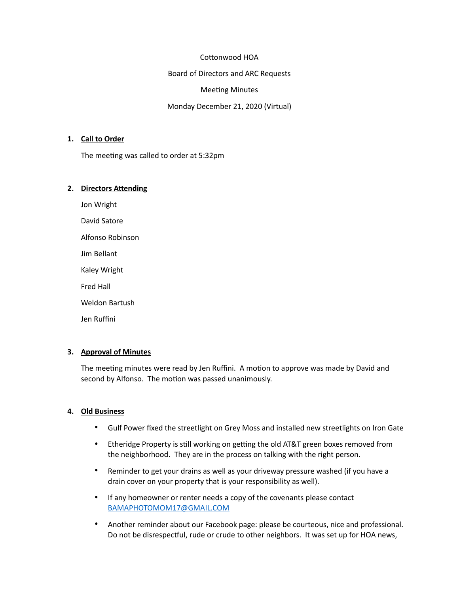### Cottonwood HOA

Board of Directors and ARC Requests

Meeting Minutes

Monday December 21, 2020 (Virtual)

## **1. Call to Order**

The meeting was called to order at 5:32pm

### **2. Directors Attending**

Jon Wright

David Satore

Alfonso Robinson

Jim Bellant

Kaley Wright

Fred Hall

Weldon Bartush

Jen Ruffini

## **3. Approval of Minutes**

The meeting minutes were read by Jen Ruffini. A motion to approve was made by David and second by Alfonso. The motion was passed unanimously.

## **4. Old Business**

- Gulf Power fixed the streetlight on Grey Moss and installed new streetlights on Iron Gate
- Etheridge Property is still working on getting the old AT&T green boxes removed from the neighborhood. They are in the process on talking with the right person.
- Reminder to get your drains as well as your driveway pressure washed (if you have a drain cover on your property that is your responsibility as well).
- If any homeowner or renter needs a copy of the covenants please contact [BAMAPHOTOMOM17@GMAIL.COM](mailto:BABAPHOTOMOM17@GMAIL.COM)
- Another reminder about our Facebook page: please be courteous, nice and professional. Do not be disrespectful, rude or crude to other neighbors. It was set up for HOA news,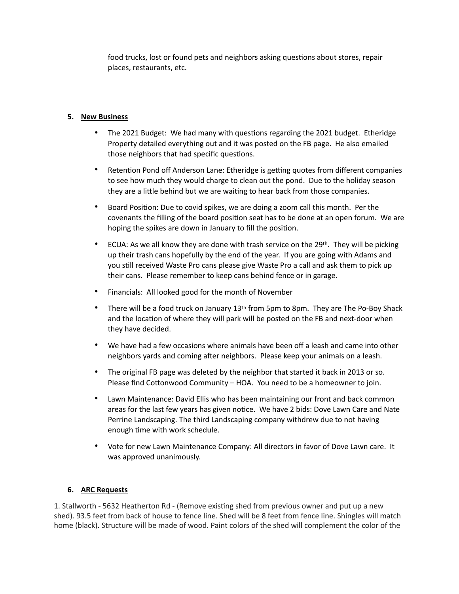food trucks, lost or found pets and neighbors asking questions about stores, repair places, restaurants, etc.

# **5. New Business**

- The 2021 Budget: We had many with questions regarding the 2021 budget. Etheridge Property detailed everything out and it was posted on the FB page. He also emailed those neighbors that had specific questions.
- Retention Pond off Anderson Lane: Etheridge is getting quotes from different companies to see how much they would charge to clean out the pond. Due to the holiday season they are a little behind but we are waiting to hear back from those companies.
- Board Position: Due to covid spikes, we are doing a zoom call this month. Per the covenants the filling of the board position seat has to be done at an open forum. We are hoping the spikes are down in January to fill the position.
- ECUA: As we all know they are done with trash service on the 29<sup>th</sup>. They will be picking up their trash cans hopefully by the end of the year. If you are going with Adams and you still received Waste Pro cans please give Waste Pro a call and ask them to pick up their cans. Please remember to keep cans behind fence or in garage.
- Financials: All looked good for the month of November
- There will be a food truck on January 13<sup>th</sup> from 5pm to 8pm. They are The Po-Boy Shack and the location of where they will park will be posted on the FB and next-door when they have decided.
- We have had a few occasions where animals have been off a leash and came into other neighbors yards and coming after neighbors. Please keep your animals on a leash.
- The original FB page was deleted by the neighbor that started it back in 2013 or so. Please find Cottonwood Community – HOA. You need to be a homeowner to join.
- Lawn Maintenance: David Ellis who has been maintaining our front and back common areas for the last few years has given notice. We have 2 bids: Dove Lawn Care and Nate Perrine Landscaping. The third Landscaping company withdrew due to not having enough time with work schedule.
- Vote for new Lawn Maintenance Company: All directors in favor of Dove Lawn care. It was approved unanimously.

## **6. ARC Requests**

1. Stallworth - 5632 Heatherton Rd - (Remove existing shed from previous owner and put up a new shed). 93.5 feet from back of house to fence line. Shed will be 8 feet from fence line. Shingles will match home (black). Structure will be made of wood. Paint colors of the shed will complement the color of the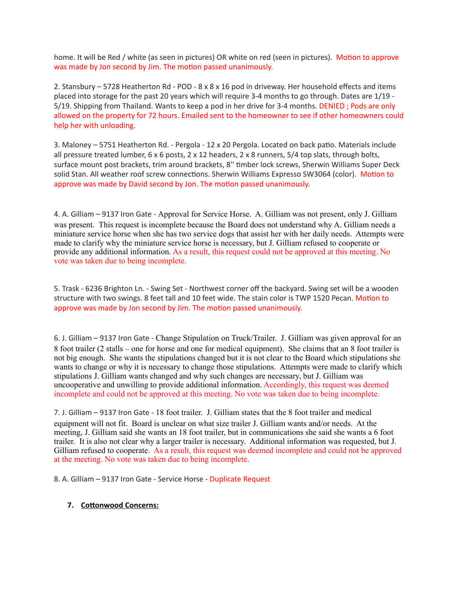home. It will be Red / white (as seen in pictures) OR white on red (seen in pictures). Motion to approve was made by Jon second by Jim. The motion passed unanimously.

2. Stansbury – 5728 Heatherton Rd - POD - 8 x 8 x 16 pod in driveway. Her household effects and items placed into storage for the past 20 years which will require 3-4 months to go through. Dates are 1/19 - 5/19. Shipping from Thailand. Wants to keep a pod in her drive for 3-4 months. DENIED ; Pods are only allowed on the property for 72 hours. Emailed sent to the homeowner to see if other homeowners could help her with unloading.

3. Maloney – 5751 Heatherton Rd. - Pergola - 12 x 20 Pergola. Located on back patio. Materials include all pressure treated lumber, 6 x 6 posts, 2 x 12 headers, 2 x 8 runners, 5/4 top slats, through bolts, surface mount post brackets, trim around brackets, 8'' timber lock screws, Sherwin Williams Super Deck solid Stan. All weather roof screw connections. Sherwin Williams Expresso SW3064 (color). Motion to approve was made by David second by Jon. The motion passed unanimously.

4. A. Gilliam – 9137 Iron Gate - Approval for Service Horse. A. Gilliam was not present, only J. Gilliam was present. This request is incomplete because the Board does not understand why A. Gilliam needs a miniature service horse when she has two service dogs that assist her with her daily needs. Attempts were made to clarify why the miniature service horse is necessary, but J. Gilliam refused to cooperate or provide any additional information. As a result, this request could not be approved at this meeting. No vote was taken due to being incomplete.

5. Trask - 6236 Brighton Ln. - Swing Set - Northwest corner off the backyard. Swing set will be a wooden structure with two swings. 8 feet tall and 10 feet wide. The stain color is TWP 1520 Pecan. Motion to approve was made by Jon second by Jim. The motion passed unanimously.

6. J. Gilliam – 9137 Iron Gate - Change Stipulation on Truck/Trailer. J. Gilliam was given approval for an 8 foot trailer (2 stalls – one for horse and one for medical equipment). She claims that an 8 foot trailer is not big enough. She wants the stipulations changed but it is not clear to the Board which stipulations she wants to change or why it is necessary to change those stipulations. Attempts were made to clarify which stipulations J. Gilliam wants changed and why such changes are necessary, but J. Gilliam was uncooperative and unwilling to provide additional information. Accordingly, this request was deemed incomplete and could not be approved at this meeting. No vote was taken due to being incomplete.

7. J. Gilliam – 9137 Iron Gate - 18 foot trailer. J. Gilliam states that the 8 foot trailer and medical equipment will not fit. Board is unclear on what size trailer J. Gilliam wants and/or needs. At the meeting, J. Gilliam said she wants an 18 foot trailer, but in communications she said she wants a 6 foot trailer. It is also not clear why a larger trailer is necessary. Additional information was requested, but J. Gilliam refused to cooperate. As a result, this request was deemed incomplete and could not be approved at the meeting. No vote was taken due to being incomplete.

8. A. Gilliam – 9137 Iron Gate - Service Horse - Duplicate Request

## **7. Cottonwood Concerns:**